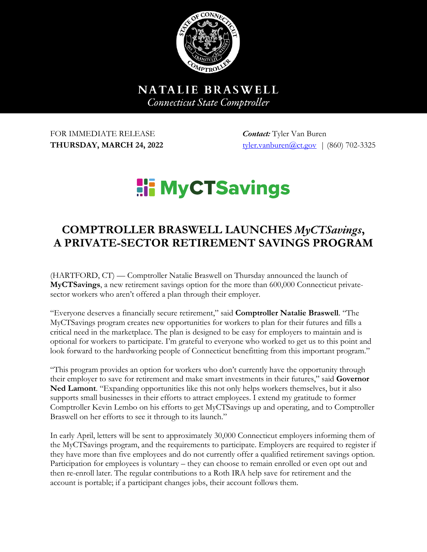

NATALIE BRASWELL **Connecticut State Comptroller** 

FOR IMMEDIATE RELEASE *Contact:* Tyler Van Buren

**THURSDAY, MARCH 24, 2022** tyler.vanburen@ct.gov | (860) 702-3325

## **Hi MyCTSavings**

## **COMPTROLLER BRASWELL LAUNCHES** *MyCTSavings***, A PRIVATE-SECTOR RETIREMENT SAVINGS PROGRAM**

(HARTFORD, CT) — Comptroller Natalie Braswell on Thursday announced the launch of **MyCTSavings**, a new retirement savings option for the more than 600,000 Connecticut privatesector workers who aren't offered a plan through their employer.

"Everyone deserves a financially secure retirement," said **Comptroller Natalie Braswell**. "The MyCTSavings program creates new opportunities for workers to plan for their futures and fills a critical need in the marketplace. The plan is designed to be easy for employers to maintain and is optional for workers to participate. I'm grateful to everyone who worked to get us to this point and look forward to the hardworking people of Connecticut benefitting from this important program."

"This program provides an option for workers who don't currently have the opportunity through their employer to save for retirement and make smart investments in their futures," said **Governor Ned Lamont**. "Expanding opportunities like this not only helps workers themselves, but it also supports small businesses in their efforts to attract employees. I extend my gratitude to former Comptroller Kevin Lembo on his efforts to get MyCTSavings up and operating, and to Comptroller Braswell on her efforts to see it through to its launch."

In early April, letters will be sent to approximately 30,000 Connecticut employers informing them of the MyCTSavings program, and the requirements to participate. Employers are required to register if they have more than five employees and do not currently offer a qualified retirement savings option. Participation for employees is voluntary – they can choose to remain enrolled or even opt out and then re-enroll later. The regular contributions to a Roth IRA help save for retirement and the account is portable; if a participant changes jobs, their account follows them.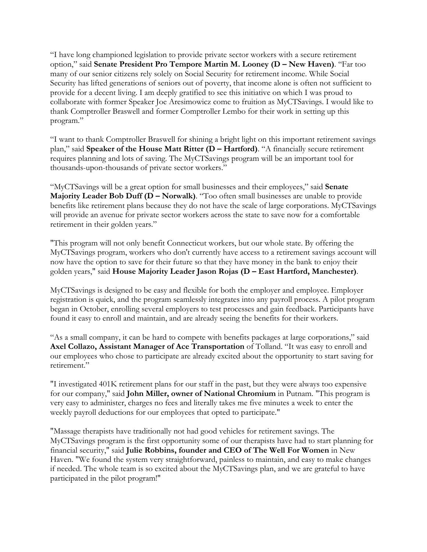"I have long championed legislation to provide private sector workers with a secure retirement option," said **Senate President Pro Tempore Martin M. Looney (D – New Haven)**. "Far too many of our senior citizens rely solely on Social Security for retirement income. While Social Security has lifted generations of seniors out of poverty, that income alone is often not sufficient to provide for a decent living. I am deeply gratified to see this initiative on which I was proud to collaborate with former Speaker Joe Aresimowicz come to fruition as MyCTSavings. I would like to thank Comptroller Braswell and former Comptroller Lembo for their work in setting up this program."

"I want to thank Comptroller Braswell for shining a bright light on this important retirement savings plan," said **Speaker of the House Matt Ritter (D – Hartford)**. "A financially secure retirement requires planning and lots of saving. The MyCTSavings program will be an important tool for thousands-upon-thousands of private sector workers."

"MyCTSavings will be a great option for small businesses and their employees," said **Senate Majority Leader Bob Duff (D – Norwalk)**. "Too often small businesses are unable to provide benefits like retirement plans because they do not have the scale of large corporations. MyCTSavings will provide an avenue for private sector workers across the state to save now for a comfortable retirement in their golden years."

"This program will not only benefit Connecticut workers, but our whole state. By offering the MyCTSavings program, workers who don't currently have access to a retirement savings account will now have the option to save for their future so that they have money in the bank to enjoy their golden years," said **House Majority Leader Jason Rojas (D – East Hartford, Manchester)**.

MyCTSavings is designed to be easy and flexible for both the employer and employee. Employer registration is quick, and the program seamlessly integrates into any payroll process. A pilot program began in October, enrolling several employers to test processes and gain feedback. Participants have found it easy to enroll and maintain, and are already seeing the benefits for their workers.

"As a small company, it can be hard to compete with benefits packages at large corporations," said **Axel Collazo, Assistant Manager of Ace Transportation** of Tolland. "It was easy to enroll and our employees who chose to participate are already excited about the opportunity to start saving for retirement."

"I investigated 401K retirement plans for our staff in the past, but they were always too expensive for our company," said **John Miller, owner of National Chromium** in Putnam. "This program is very easy to administer, charges no fees and literally takes me five minutes a week to enter the weekly payroll deductions for our employees that opted to participate."

"Massage therapists have traditionally not had good vehicles for retirement savings. The MyCTSavings program is the first opportunity some of our therapists have had to start planning for financial security," said **Julie Robbins, founder and CEO of The Well For Women** in New Haven. "We found the system very straightforward, painless to maintain, and easy to make changes if needed. The whole team is so excited about the MyCTSavings plan, and we are grateful to have participated in the pilot program!"